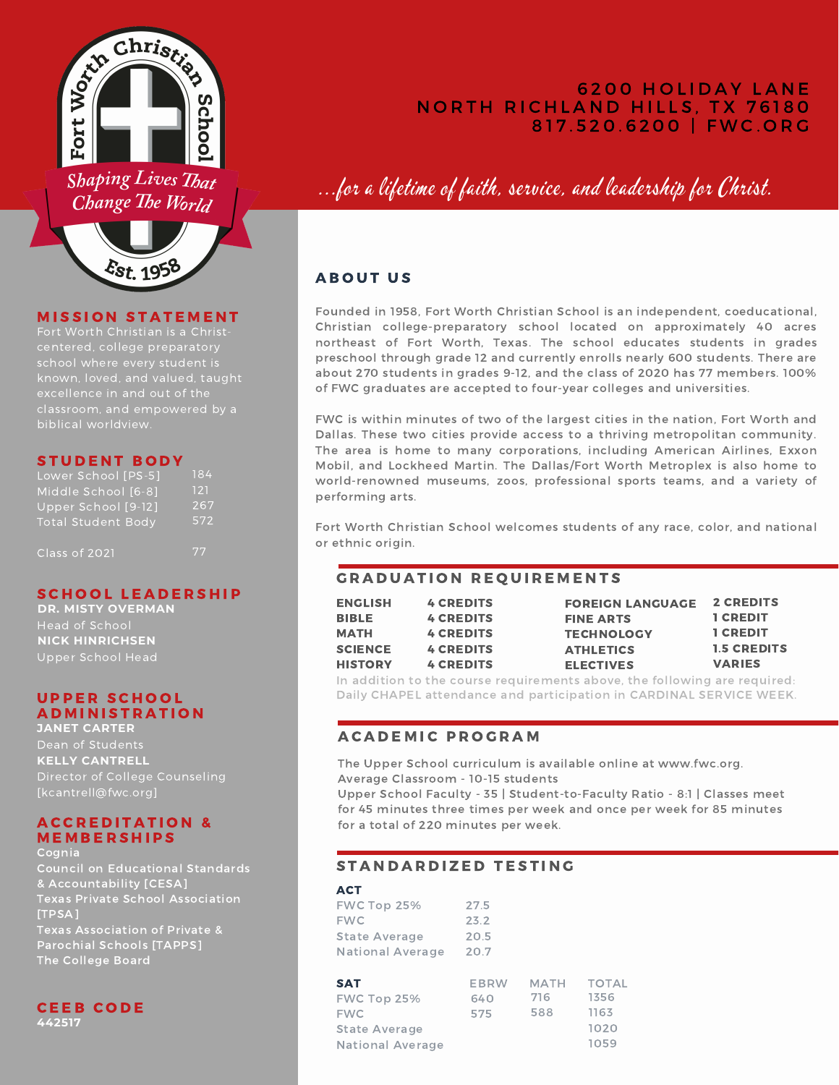

Shaping Lives That Change The World

## **MISSION STATEMENT**

 $\mathcal{E}_\mathbf{S}$ t, 1958

classroom, and empowered by a

### STUDENT BODY

| Lower School [PS-5]       | 184 |
|---------------------------|-----|
| Middle School [6-8]       | 121 |
| Upper School [9-12]       | 267 |
| <b>Total Student Body</b> | 572 |
|                           |     |
| Class of 2021             | 77  |

## SCHOOL LEADERSHIP

**DR. MISTY OVERMAN** Head of School **NICK HINRICHSEN** Upper School Head

#### UPPER SCHOOL **ADMINISTRATION JANET CARTER**

**KELLY CANTRELL** Director of College Counseling [kcantrell@fwc.org]

#### **ACCREDITATION & MEMBERSHIPS** Cognia

Council on Educational Standards & Accountability [CESA] Texas Private School Association [TPSA] Texas Association of Private & Parochial Schools [TAPPS] The College Board



# **6200 HOLIDAY LANE** NORTH RICHLAND HILLS, TX 76180 817.520.6200 | FWC.ORG

...for a lifetime of faith, service, and leadership for Christ.

# **ABOUT US**

Founded in 1958, Fort Worth Christian School is an independent, coeducational, Christian college-preparatory school located on approximately 40 acres northeast of Fort Worth, Texas. The school educates students in grades preschool through grade 12 and currently enrolls nearly 600 students. There are about 270 students in grades 9-12, and the class of 2020 has 77 members. 100% of FWC graduates are accepted to four-year colleges and universities.

FWC is within minutes of two of the largest cities in the nation, Fort Worth and Dallas. These two cities provide access to a thriving metropolitan community. The area is home to many corporations, including American Airlines, Exxon Mobil, and Lockheed Martin. The Dallas/Fort Worth Metroplex is also home to world-renowned museums, zoos, professional sports teams, and a variety of performing arts.

Fort Worth Christian School welcomes students of any race, color, and national or ethnic origin.

## **GRADUATION REQUIREMENTS**

| <b>ENGLISH</b> | <b>4 CREDITS</b> | <b>FOREIGN LANGUAGE</b> | <b>2 CREDITS</b>   |
|----------------|------------------|-------------------------|--------------------|
| <b>BIBLE</b>   | <b>4 CREDITS</b> | <b>FINE ARTS</b>        | <b>1 CREDIT</b>    |
| <b>MATH</b>    | <b>4 CREDITS</b> | <b>TECHNOLOGY</b>       | <b>1 CREDIT</b>    |
| <b>SCIENCE</b> | <b>4 CREDITS</b> | <b>ATHLETICS</b>        | <b>1.5 CREDITS</b> |
| <b>HISTORY</b> | <b>4 CREDITS</b> | <b>ELECTIVES</b>        | <b>VARIES</b>      |

In addition to the course requirements above, the following are required: Daily CHAPEL attendance and participation in CARDINAL SERVICE WEEK.

#### A CADEMIC PROGRAM

The Upper School curriculum is available online at www.fwc.org. Average Classroom - 10-15 students

Upper School Faculty - 35 | Student-to-Faculty Ratio - 8:1 | Classes meet for 45 minutes three times per week and once per week for 85 minutes for a total of 220 minutes per week.

## STANDARDIZED TESTING

**ACT** FWC Top 25% FWC State Average National Average 27.5 23.2 20.5 20.7

| <b>SAT</b>              | EBRW | <b>MATH</b> | <b>TOTAL</b> |
|-------------------------|------|-------------|--------------|
| FWC Top 25%             | 640  | 716         | 1356         |
| <b>FWC</b>              | 575  | 588         | 1163         |
| <b>State Average</b>    |      |             | 1020         |
| <b>National Average</b> |      |             | 1059         |